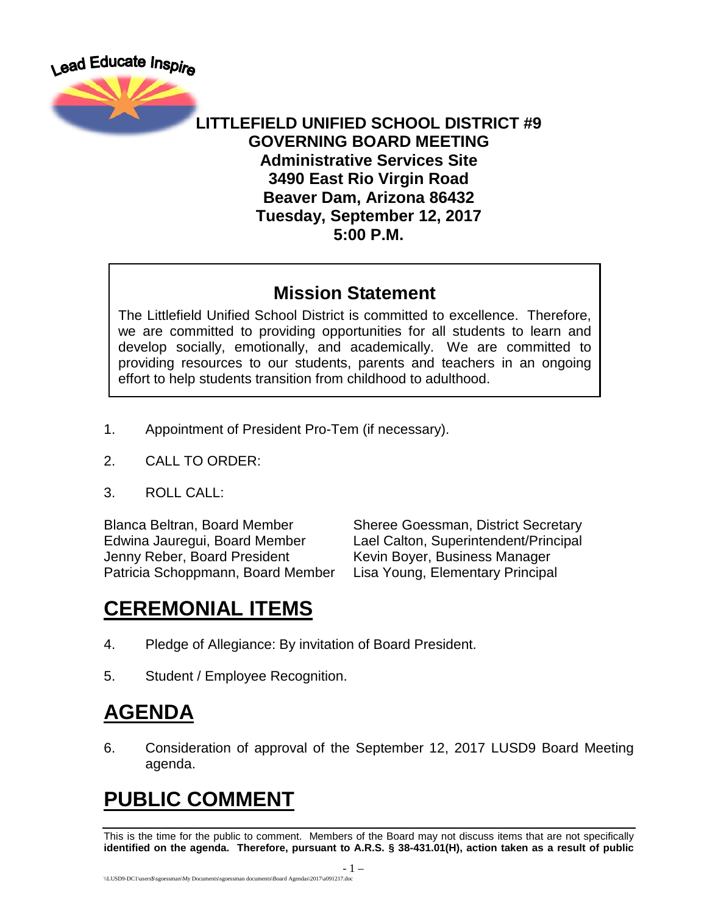



#### **LITTLEFIELD UNIFIED SCHOOL DISTRICT #9 GOVERNING BOARD MEETING Administrative Services Site 3490 East Rio Virgin Road Beaver Dam, Arizona 86432 Tuesday, September 12, 2017 5:00 P.M.**

#### **Mission Statement**

The Littlefield Unified School District is committed to excellence. Therefore, we are committed to providing opportunities for all students to learn and develop socially, emotionally, and academically. We are committed to providing resources to our students, parents and teachers in an ongoing effort to help students transition from childhood to adulthood.

- 1. Appointment of President Pro-Tem (if necessary).
- 2. CALL TO ORDER:
- 3. ROLL CALL:

Jenny Reber, Board President Kevin Boyer, Business Manager Patricia Schoppmann, Board Member Lisa Young, Elementary Principal

Blanca Beltran, Board Member Sheree Goessman, District Secretary Edwina Jauregui, Board Member Lael Calton, Superintendent/Principal

## **CEREMONIAL ITEMS**

- 4. Pledge of Allegiance: By invitation of Board President.
- 5. Student / Employee Recognition.

### **AGENDA**

6. Consideration of approval of the September 12, 2017 LUSD9 Board Meeting agenda.

# **PUBLIC COMMENT**

This is the time for the public to comment. Members of the Board may not discuss items that are not specifically **identified on the agenda. Therefore, pursuant to A.R.S. § 38-431.01(H), action taken as a result of public**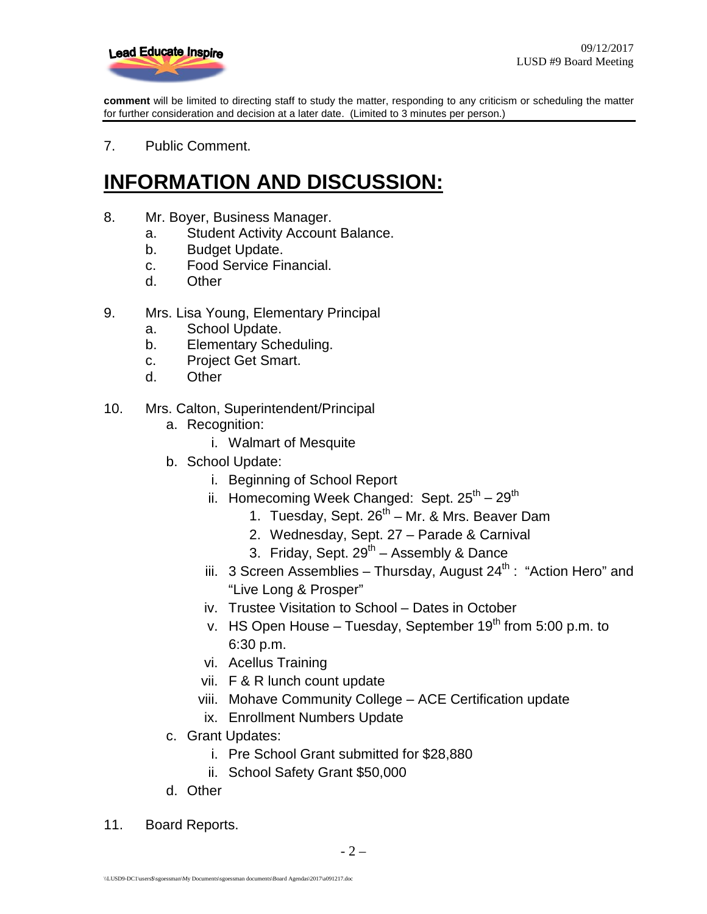

**comment** will be limited to directing staff to study the matter, responding to any criticism or scheduling the matter for further consideration and decision at a later date. (Limited to 3 minutes per person.)

7. Public Comment.

### **INFORMATION AND DISCUSSION:**

- 8. Mr. Boyer, Business Manager.
	- a. Student Activity Account Balance.
	- b. Budget Update.
	- c. Food Service Financial.
	- d. Other
- 9. Mrs. Lisa Young, Elementary Principal
	- a. School Update.
	- b. Elementary Scheduling.
	- c. Project Get Smart.
	- d. Other
- 10. Mrs. Calton, Superintendent/Principal
	- a. Recognition:
		- i. Walmart of Mesquite
	- b. School Update:
		- i. Beginning of School Report
		- ii. Homecoming Week Changed: Sept.  $25^{th} 29^{th}$ 
			- 1. Tuesday, Sept.  $26<sup>th</sup> Mr.$  & Mrs. Beaver Dam
			- 2. Wednesday, Sept. 27 Parade & Carnival
			- 3. Friday, Sept.  $29^{th}$  Assembly & Dance
		- iii. 3 Screen Assemblies Thursday, August  $24^{th}$ : "Action Hero" and "Live Long & Prosper"
		- iv. Trustee Visitation to School Dates in October
		- v. HS Open House Tuesday, September  $19<sup>th</sup>$  from 5:00 p.m. to 6:30 p.m.
		- vi. Acellus Training
		- vii. F & R lunch count update
		- viii. Mohave Community College ACE Certification update
		- ix. Enrollment Numbers Update
	- c. Grant Updates:
		- i. Pre School Grant submitted for \$28,880
		- ii. School Safety Grant \$50,000
	- d. Other
- 11. Board Reports.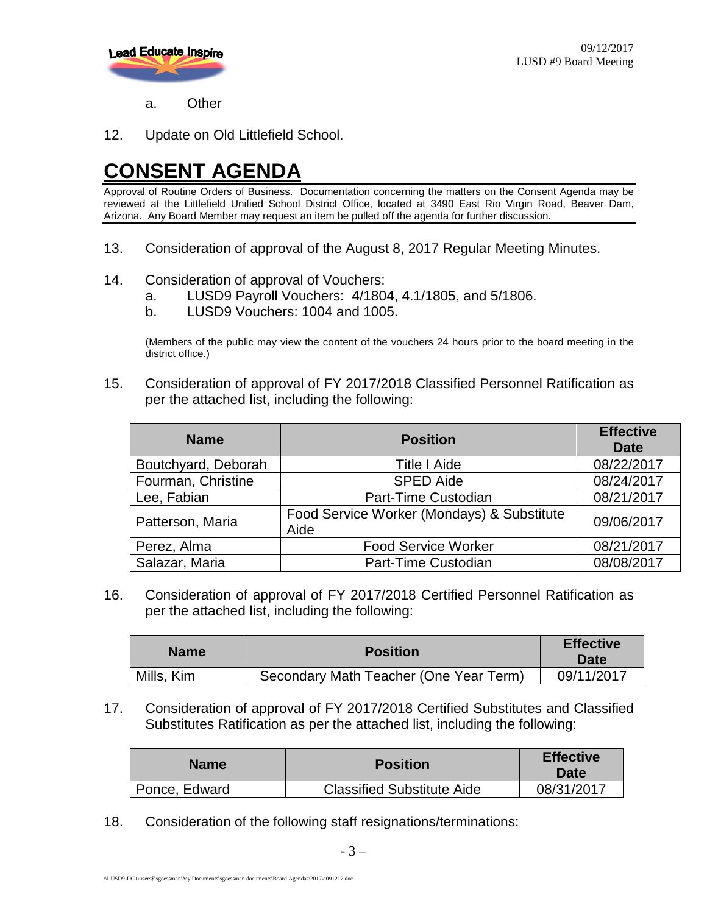

a. Other

12. Update on Old Littlefield School.

### **CONSENT AGENDA**

Approval of Routine Orders of Business. Documentation concerning the matters on the Consent Agenda may be reviewed at the Littlefield Unified School District Office, located at 3490 East Rio Virgin Road, Beaver Dam, Arizona. Any Board Member may request an item be pulled off the agenda for further discussion.

- 13. Consideration of approval of the August 8, 2017 Regular Meeting Minutes.
- 14. Consideration of approval of Vouchers:
	- a. LUSD9 Payroll Vouchers: 4/1804, 4.1/1805, and 5/1806.
	- b. LUSD9 Vouchers: 1004 and 1005.

(Members of the public may view the content of the vouchers 24 hours prior to the board meeting in the district office.)

15. Consideration of approval of FY 2017/2018 Classified Personnel Ratification as per the attached list, including the following:

| <b>Name</b>         | <b>Position</b>                                    | <b>Effective</b><br><b>Date</b> |
|---------------------|----------------------------------------------------|---------------------------------|
| Boutchyard, Deborah | <b>Title I Aide</b>                                | 08/22/2017                      |
| Fourman, Christine  | <b>SPED Aide</b>                                   | 08/24/2017                      |
| Lee, Fabian         | Part-Time Custodian                                | 08/21/2017                      |
| Patterson, Maria    | Food Service Worker (Mondays) & Substitute<br>Aide | 09/06/2017                      |
| Perez, Alma         | <b>Food Service Worker</b>                         | 08/21/2017                      |
| Salazar, Maria      | Part-Time Custodian                                | 08/08/2017                      |

16. Consideration of approval of FY 2017/2018 Certified Personnel Ratification as per the attached list, including the following:

| <b>Name</b> | <b>Position</b>                        | <b>Effective</b><br>Date |
|-------------|----------------------------------------|--------------------------|
| Mills, Kim  | Secondary Math Teacher (One Year Term) | 09/11/2017               |

17. Consideration of approval of FY 2017/2018 Certified Substitutes and Classified Substitutes Ratification as per the attached list, including the following:

| <b>Name</b>   | <b>Position</b>                   | <b>Effective</b><br><b>Date</b> |
|---------------|-----------------------------------|---------------------------------|
| Ponce, Edward | <b>Classified Substitute Aide</b> | 08/31/2017                      |

18. Consideration of the following staff resignations/terminations: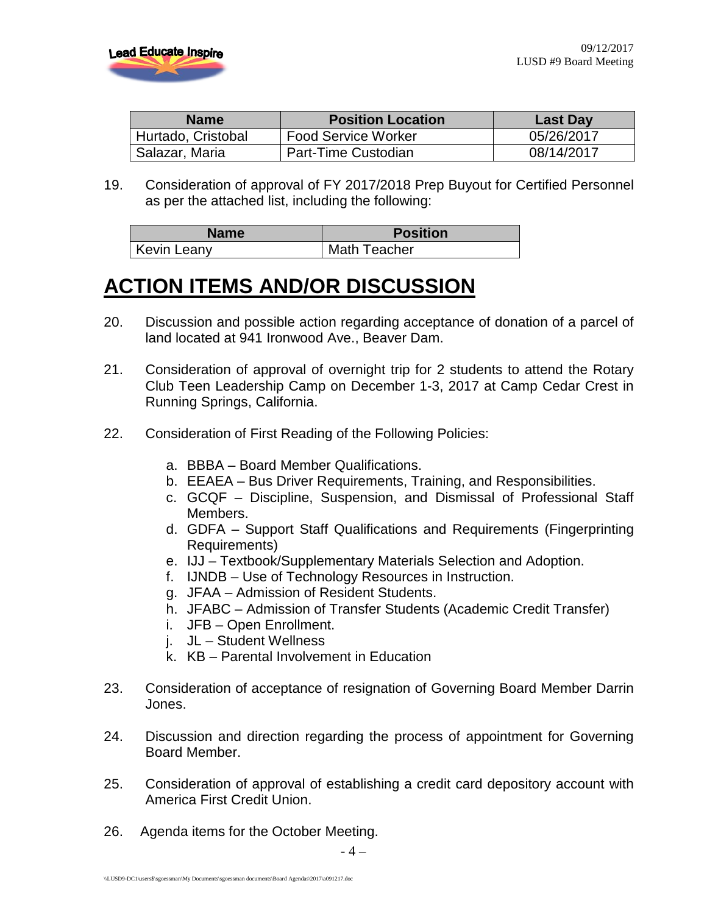

| <b>Name</b>        | <b>Position Location</b> | Last Day   |
|--------------------|--------------------------|------------|
| Hurtado, Cristobal | Food Service Worker      | 05/26/2017 |
| Salazar, Maria     | Part-Time Custodian      | 08/14/2017 |

19. Consideration of approval of FY 2017/2018 Prep Buyout for Certified Personnel as per the attached list, including the following:

| Name               | <b>Position</b>     |  |
|--------------------|---------------------|--|
| <b>Kevin Leany</b> | <b>Math Teacher</b> |  |

### **ACTION ITEMS AND/OR DISCUSSION**

- 20. Discussion and possible action regarding acceptance of donation of a parcel of land located at 941 Ironwood Ave., Beaver Dam.
- 21. Consideration of approval of overnight trip for 2 students to attend the Rotary Club Teen Leadership Camp on December 1-3, 2017 at Camp Cedar Crest in Running Springs, California.
- 22. Consideration of First Reading of the Following Policies:
	- a. BBBA Board Member Qualifications.
	- b. EEAEA Bus Driver Requirements, Training, and Responsibilities.
	- c. GCQF Discipline, Suspension, and Dismissal of Professional Staff Members.
	- d. GDFA Support Staff Qualifications and Requirements (Fingerprinting Requirements)
	- e. IJJ Textbook/Supplementary Materials Selection and Adoption.
	- f. IJNDB Use of Technology Resources in Instruction.
	- g. JFAA Admission of Resident Students.
	- h. JFABC Admission of Transfer Students (Academic Credit Transfer)
	- i. JFB Open Enrollment.
	- j. JL Student Wellness
	- k. KB Parental Involvement in Education
- 23. Consideration of acceptance of resignation of Governing Board Member Darrin Jones.
- 24. Discussion and direction regarding the process of appointment for Governing Board Member.
- 25. Consideration of approval of establishing a credit card depository account with America First Credit Union.
- 26. Agenda items for the October Meeting.